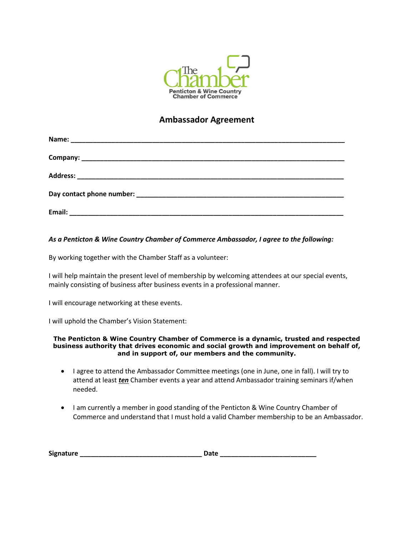

## **Ambassador Agreement**

| Email: |  |
|--------|--|

### *As a Penticton & Wine Country Chamber of Commerce Ambassador, I agree to the following:*

By working together with the Chamber Staff as a volunteer:

I will help maintain the present level of membership by welcoming attendees at our special events, mainly consisting of business after business events in a professional manner.

I will encourage networking at these events.

I will uphold the Chamber's Vision Statement:

#### **The Penticton & Wine Country Chamber of Commerce is a dynamic, trusted and respected business authority that drives economic and social growth and improvement on behalf of, and in support of, our members and the community.**

- I agree to attend the Ambassador Committee meetings (one in June, one in fall). I will try to attend at least *ten* Chamber events a year and attend Ambassador training seminars if/when needed.
- I am currently a member in good standing of the Penticton & Wine Country Chamber of Commerce and understand that I must hold a valid Chamber membership to be an Ambassador.

| <b>Signature</b> | Date |
|------------------|------|
|------------------|------|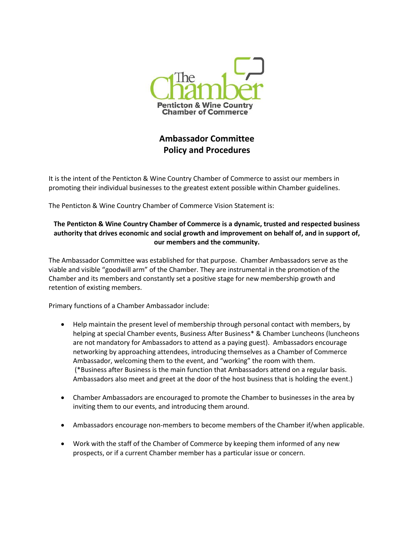

# **Ambassador Committee Policy and Procedures**

It is the intent of the Penticton & Wine Country Chamber of Commerce to assist our members in promoting their individual businesses to the greatest extent possible within Chamber guidelines.

The Penticton & Wine Country Chamber of Commerce Vision Statement is:

## **The Penticton & Wine Country Chamber of Commerce is a dynamic, trusted and respected business authority that drives economic and social growth and improvement on behalf of, and in support of, our members and the community.**

The Ambassador Committee was established for that purpose. Chamber Ambassadors serve as the viable and visible "goodwill arm" of the Chamber. They are instrumental in the promotion of the Chamber and its members and constantly set a positive stage for new membership growth and retention of existing members.

Primary functions of a Chamber Ambassador include:

- Help maintain the present level of membership through personal contact with members, by helping at special Chamber events, Business After Business\* & Chamber Luncheons (luncheons are not mandatory for Ambassadors to attend as a paying guest). Ambassadors encourage networking by approaching attendees, introducing themselves as a Chamber of Commerce Ambassador, welcoming them to the event, and "working" the room with them. (\*Business after Business is the main function that Ambassadors attend on a regular basis. Ambassadors also meet and greet at the door of the host business that is holding the event.)
- Chamber Ambassadors are encouraged to promote the Chamber to businesses in the area by inviting them to our events, and introducing them around.
- Ambassadors encourage non-members to become members of the Chamber if/when applicable.
- Work with the staff of the Chamber of Commerce by keeping them informed of any new prospects, or if a current Chamber member has a particular issue or concern.